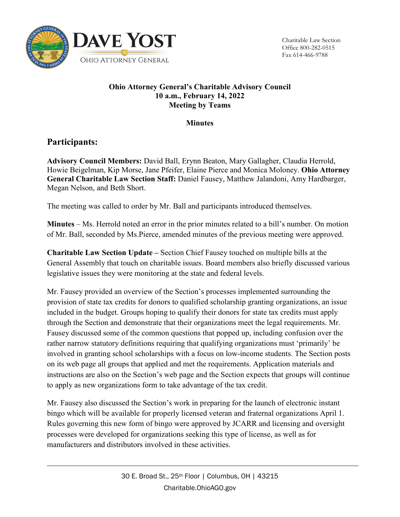

Charitable Law Section Office 800-282-0515 Fax 614-466-9788

## **Ohio Attorney General's Charitable Advisory Council 10 a.m., February 14, 2022 Meeting by Teams**

## **Minutes**

## **Participants:**

**Advisory Council Members:** David Ball, Erynn Beaton, Mary Gallagher, Claudia Herrold, Howie Beigelman, Kip Morse, Jane Pfeifer, Elaine Pierce and Monica Moloney. **Ohio Attorney General Charitable Law Section Staff:** Daniel Fausey, Matthew Jalandoni, Amy Hardbarger, Megan Nelson, and Beth Short.

The meeting was called to order by Mr. Ball and participants introduced themselves.

**Minutes** – Ms. Herrold noted an error in the prior minutes related to a bill's number. On motion of Mr. Ball, seconded by Ms.Pierce, amended minutes of the previous meeting were approved.

**Charitable Law Section Update –** Section Chief Fausey touched on multiple bills at the General Assembly that touch on charitable issues. Board members also briefly discussed various legislative issues they were monitoring at the state and federal levels.

Mr. Fausey provided an overview of the Section's processes implemented surrounding the provision of state tax credits for donors to qualified scholarship granting organizations, an issue included in the budget. Groups hoping to qualify their donors for state tax credits must apply through the Section and demonstrate that their organizations meet the legal requirements. Mr. Fausey discussed some of the common questions that popped up, including confusion over the rather narrow statutory definitions requiring that qualifying organizations must 'primarily' be involved in granting school scholarships with a focus on low-income students. The Section posts on its web page all groups that applied and met the requirements. Application materials and instructions are also on the Section's web page and the Section expects that groups will continue to apply as new organizations form to take advantage of the tax credit.

Mr. Fausey also discussed the Section's work in preparing for the launch of electronic instant bingo which will be available for properly licensed veteran and fraternal organizations April 1. Rules governing this new form of bingo were approved by JCARR and licensing and oversight processes were developed for organizations seeking this type of license, as well as for manufacturers and distributors involved in these activities.